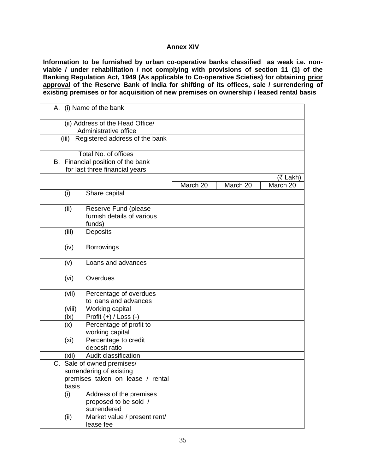## **Annex XIV**

**Information to be furnished by urban co-operative banks classified as weak i.e. nonviable / under rehabilitation / not complying with provisions of section 11 (1) of the Banking Regulation Act, 1949 (As applicable to Co-operative Scieties) for obtaining prior approval of the Reserve Bank of India for shifting of its offices, sale / surrendering of existing premises or for acquisition of new premises on ownership / leased rental basis** 

| A. (i) Name of the bank                                                                             |          |          |          |
|-----------------------------------------------------------------------------------------------------|----------|----------|----------|
| (ii) Address of the Head Office/<br>Administrative office                                           |          |          |          |
| Registered address of the bank<br>(iii)                                                             |          |          |          |
| Total No. of offices                                                                                |          |          |          |
| B. Financial position of the bank<br>for last three financial years                                 |          |          |          |
|                                                                                                     |          |          | (₹ Lakh) |
|                                                                                                     | March 20 | March 20 | March 20 |
| Share capital<br>(i)                                                                                |          |          |          |
| Reserve Fund (please<br>(ii)<br>furnish details of various<br>funds)                                |          |          |          |
| (iii)<br>Deposits                                                                                   |          |          |          |
| (iv)<br><b>Borrowings</b>                                                                           |          |          |          |
| Loans and advances<br>(v)                                                                           |          |          |          |
| Overdues<br>(vi)                                                                                    |          |          |          |
| (vii)<br>Percentage of overdues<br>to loans and advances                                            |          |          |          |
| (viii)<br>Working capital                                                                           |          |          |          |
| Profit $(+)$ / Loss $(-)$<br>(ix)                                                                   |          |          |          |
| Percentage of profit to<br>(x)<br>working capital                                                   |          |          |          |
| (x <sub>i</sub> )<br>Percentage to credit<br>deposit ratio                                          |          |          |          |
| Audit classification<br>(xii)                                                                       |          |          |          |
| C. Sale of owned premises/<br>surrendering of existing<br>premises taken on lease / rental<br>basis |          |          |          |
| Address of the premises<br>(i)<br>proposed to be sold /<br>surrendered                              |          |          |          |
| Market value / present rent/<br>(ii)<br>lease fee                                                   |          |          |          |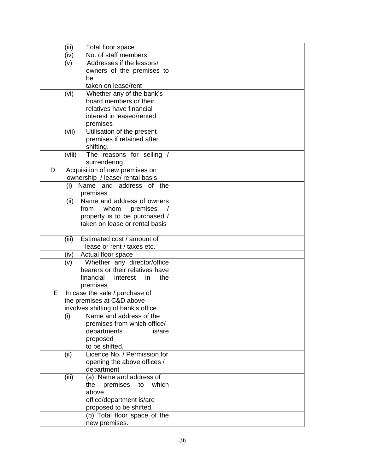| (iii)  | Total floor space                                               |  |
|--------|-----------------------------------------------------------------|--|
| (iv)   | No. of staff members                                            |  |
| (v)    | Addresses if the lessors/                                       |  |
|        | owners of the premises to                                       |  |
|        | be                                                              |  |
|        | taken on lease/rent                                             |  |
| (vi)   | Whether any of the bank's                                       |  |
|        | board members or their                                          |  |
|        | relatives have financial                                        |  |
|        | interest in leased/rented                                       |  |
|        | premises                                                        |  |
| (vii)  | Utilisation of the present                                      |  |
|        | premises if retained after                                      |  |
|        | shifting.                                                       |  |
| (viii) | The reasons for selling /                                       |  |
|        | surrendering                                                    |  |
| D.     | Acquisition of new premises on                                  |  |
|        | ownership / lease/ rental basis                                 |  |
| (i)    | Name and address of the                                         |  |
|        | premises                                                        |  |
| (ii)   | Name and address of owners                                      |  |
|        | from<br>whom<br>premises                                        |  |
|        | property is to be purchased /<br>taken on lease or rental basis |  |
|        |                                                                 |  |
| (iii)  | Estimated cost / amount of                                      |  |
|        | lease or rent / taxes etc.                                      |  |
| (iv)   | Actual floor space                                              |  |
| (v)    | Whether any director/office                                     |  |
|        | bearers or their relatives have                                 |  |
|        | financial<br>the<br>interest<br>in                              |  |
|        | premises                                                        |  |
| Е      | In case the sale / purchase of                                  |  |
|        | the premises at C&D above                                       |  |
|        | involves shifting of bank's office                              |  |
| (i)    | Name and address of the                                         |  |
|        | premises from which office/                                     |  |
|        | is/are<br>departments                                           |  |
|        | proposed                                                        |  |
|        | to be shifted.                                                  |  |
| (ii)   | Licence No. / Permission for                                    |  |
|        | opening the above offices /                                     |  |
|        | department                                                      |  |
| (iii)  | (a) Name and address of                                         |  |
|        | premises<br>which<br>the<br>to                                  |  |
|        | above                                                           |  |
|        | office/department is/are                                        |  |
|        | proposed to be shifted.<br>(b) Total floor space of the         |  |
|        |                                                                 |  |
|        | new premises.                                                   |  |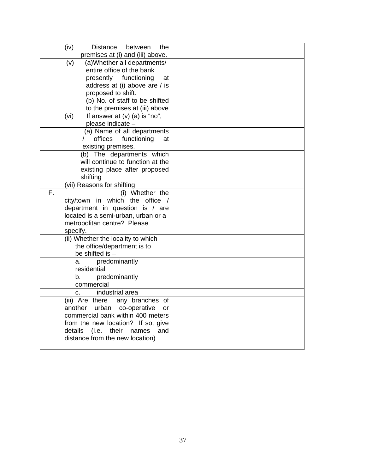| (iv)<br>Distance<br>the<br>between                                        |  |
|---------------------------------------------------------------------------|--|
| premises at (i) and (iii) above.                                          |  |
| (a) Whether all departments/<br>(v)<br>entire office of the bank          |  |
| presently functioning<br>at                                               |  |
| address at (i) above are / is                                             |  |
| proposed to shift.                                                        |  |
| (b) No. of staff to be shifted                                            |  |
| to the premises at (iii) above                                            |  |
| If answer at (v) (a) is "no",<br>(vi)                                     |  |
| please indicate -                                                         |  |
| (a) Name of all departments                                               |  |
| offices<br>functioning<br>at                                              |  |
| existing premises.                                                        |  |
| (b) The departments which                                                 |  |
| will continue to function at the                                          |  |
| existing place after proposed                                             |  |
| shifting                                                                  |  |
| (vii) Reasons for shifting<br>F.<br>(i) Whether the                       |  |
| city/town in which the office /                                           |  |
| department in question is / are                                           |  |
| located is a semi-urban, urban or a                                       |  |
| metropolitan centre? Please                                               |  |
| specify.                                                                  |  |
| (ii) Whether the locality to which                                        |  |
| the office/department is to                                               |  |
| be shifted is -                                                           |  |
| predominantly<br>a.                                                       |  |
| residential                                                               |  |
| b.<br>predominantly                                                       |  |
| commercial                                                                |  |
| industrial area<br>C.                                                     |  |
| (iii) Are there<br>any branches of<br>urban co-operative<br>another<br>or |  |
| commercial bank within 400 meters                                         |  |
| from the new location? If so, give                                        |  |
| details<br>(i.e.<br>their<br>names<br>and                                 |  |
| distance from the new location)                                           |  |
|                                                                           |  |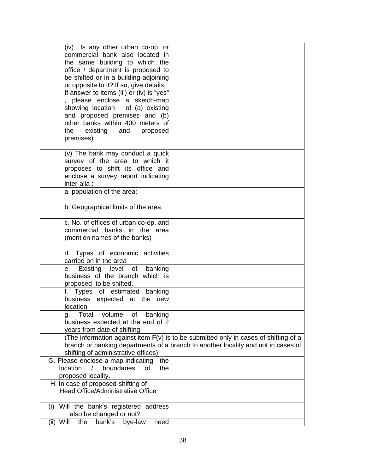| (iv) Is any other urban co-op. or<br>commercial bank also located in<br>the same building to which the<br>office / department is proposed to<br>be shifted or in a building adjoining<br>or opposite to it? If so, give details.<br>If answer to items (iii) or (iv) is "yes"<br>please enclose a sketch-map<br>showing location<br>of (a) existing<br>and proposed premises and (b)<br>other banks within 400 meters of<br>the<br>existing<br>and<br>proposed<br>premises) |                                                                                                                                                                           |
|-----------------------------------------------------------------------------------------------------------------------------------------------------------------------------------------------------------------------------------------------------------------------------------------------------------------------------------------------------------------------------------------------------------------------------------------------------------------------------|---------------------------------------------------------------------------------------------------------------------------------------------------------------------------|
| (v) The bank may conduct a quick<br>survey of the area to which it<br>proposes to shift its office and<br>enclose a survey report indicating<br>inter-alia:                                                                                                                                                                                                                                                                                                                 |                                                                                                                                                                           |
| a. population of the area;                                                                                                                                                                                                                                                                                                                                                                                                                                                  |                                                                                                                                                                           |
| b. Geographical limits of the area;                                                                                                                                                                                                                                                                                                                                                                                                                                         |                                                                                                                                                                           |
| c. No. of offices of urban co-op. and<br>banks in the area<br>commercial<br>(mention names of the banks)                                                                                                                                                                                                                                                                                                                                                                    |                                                                                                                                                                           |
| d. Types of economic activities<br>carried on in the area                                                                                                                                                                                                                                                                                                                                                                                                                   |                                                                                                                                                                           |
| Existing level of banking<br>е. –<br>business of the branch which is<br>proposed to be shifted.                                                                                                                                                                                                                                                                                                                                                                             |                                                                                                                                                                           |
| f. Types of estimated banking<br>business expected at the new<br>location                                                                                                                                                                                                                                                                                                                                                                                                   |                                                                                                                                                                           |
| volume<br>of banking<br>Total<br>g.<br>business expected at the end of 2<br>years from date of shifting                                                                                                                                                                                                                                                                                                                                                                     |                                                                                                                                                                           |
| shifting of administrative offices).                                                                                                                                                                                                                                                                                                                                                                                                                                        | (The information against item F(v) is to be submitted only in cases of shifting of a<br>branch or banking departments of a branch to another locality and not in cases of |
| G. Please enclose a map indicating<br>the<br>$\sqrt{2}$<br>location<br>boundaries<br>of<br>the<br>proposed locality.                                                                                                                                                                                                                                                                                                                                                        |                                                                                                                                                                           |
| H. In case of proposed-shifting of<br>Head Office/Administrative Office                                                                                                                                                                                                                                                                                                                                                                                                     |                                                                                                                                                                           |
| (i) Will the bank's registered address<br>also be changed or not?                                                                                                                                                                                                                                                                                                                                                                                                           |                                                                                                                                                                           |
| Will<br>bank's<br>(ii)<br>the<br>bye-law<br>need                                                                                                                                                                                                                                                                                                                                                                                                                            |                                                                                                                                                                           |